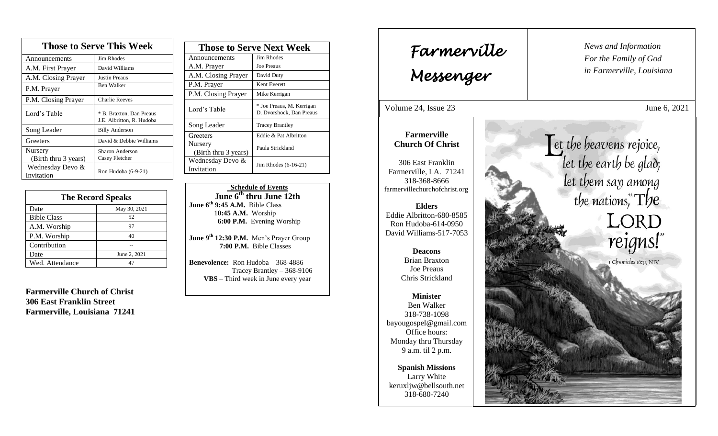| <b>Those to Serve This Week</b> |                                                       |
|---------------------------------|-------------------------------------------------------|
| Announcements                   | Jim Rhodes                                            |
| A.M. First Prayer               | David Williams                                        |
| A.M. Closing Prayer             | <b>Justin Preaus</b>                                  |
| P.M. Prayer                     | Ben Walker                                            |
| P.M. Closing Prayer             | <b>Charlie Reeves</b>                                 |
| Lord's Table                    | * B. Braxton, Dan Preaus<br>J.E. Albritton, R. Hudoba |
| Song Leader                     | <b>Billy Anderson</b>                                 |
| Greeters                        | David & Debbie Williams                               |
| Nursery                         | Sharon Anderson                                       |
| (Birth thru 3 years)            | Casey Fletcher                                        |
| Wednesday Devo &<br>Invitation  | Ron Hudoba (6-9-21)                                   |

| <b>The Record Speaks</b> |              |
|--------------------------|--------------|
| Date                     | May 30, 2021 |
| <b>Bible Class</b>       | 52           |
| A.M. Worship             | 97           |
| P.M. Worship             | 40           |
| Contribution             |              |
| Date                     | June 2, 2021 |
| Wed. Attendance          |              |

**Farmerville Church of Christ 306 East Franklin Street Farmerville, Louisiana 71241**

| <b>Those to Serve Next Week</b> |                                                       |
|---------------------------------|-------------------------------------------------------|
| Announcements                   | Jim Rhodes                                            |
| A.M. Prayer                     | <b>Joe Preaus</b>                                     |
| A.M. Closing Prayer             | David Duty                                            |
| P.M. Prayer                     | Kent Everett                                          |
| P.M. Closing Prayer             | Mike Kerrigan                                         |
| Lord's Table                    | * Joe Preaus, M. Kerrigan<br>D. Dvorshock, Dan Preaus |
| Song Leader                     | <b>Tracey Brantley</b>                                |
| Greeters                        | Eddie & Pat Albritton                                 |
| Nursery<br>(Birth thru 3 years) | Paula Strickland                                      |
| Wednesday Devo &<br>Invitation  | Jim Rhodes (6-16-21)                                  |

 **Schedule of Events June 6th thru June 12th June 6th 9:45 A.M.** Bible Class 1**0:45 A.M.** Worship  **6:00 P.M.** Evening Worship

**June 9 th 12:30 P.M.** Men's Prayer Group **7:00 P.M.** Bible Classes

**Benevolence:** Ron Hudoba – 368-4886 Tracey Brantley – 368-9106 **VBS** – Third week in June every year

*News and Information* **Farmerville**  $\begin{bmatrix} \text{News an} \\ \text{For the} \end{bmatrix}$ *For the Family of God in Farmerville, Louisiana Messenger*  Volume 24, Issue 23 June 6, 2021 , 2015 **Farmerville** Let the heavens rejoice, **Church Of Christ** let the earth be glad; 306 East Franklin Farmerville, LA. 71241 let them say among 318-368-8666 farmervillechurchofchrist.org the nations,  $\text{Tr}$ **Elders** LORD<br>reigns!" Eddie Albritton-680-8585 Ron Hudoba-614-0950 David Williams-517-7053 **Deacons**  Brian Braxton I Chronicles 16:31, NIV Joe Preaus Chris Strickland **Minister** Ben Walker 318-738-1098 bayougospel@gmail.com Office hours: Monday thru Thursday 9 a.m. til 2 p.m. **Spanish Missions** Larry White keruxljw@bellsouth.net 318-680-7240